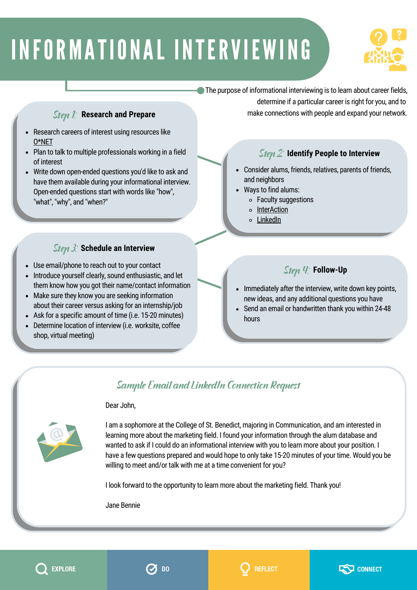# INFORMATIONAL INTERVIEWING



### The purpose of informational interviewing is to learn about career fields,

### Step 1: **Research and Prepare**

- Research careers of interest using resources like [O\\*NET](https://www.onetonline.org/)
- Plan to talk to multiple professionals working in a field of interest
- Write down open-ended questions you'd like to ask and have them available during your informational interview. Open-ended questions start with words like "how", "what", "why", and "when?"

## Step 3: **Schedule an Interview**

- Use email/phone to reach out to your contact
- Introduce yourself clearly, sound enthusiastic, and let them know how you got their name/contact information
- Make sure they know you are seeking information about their career versus asking for an internship/job
- Ask for a specific amount of time (i.e. 15-20 minutes)
- Determine location of interview (i.e. worksite, coffee shop, virtual meeting)

determine if a particular career is right for you, and to make connections with people and expand your network.

## Step 2: **Identify People to Interview**

- Consider alums, friends, relatives, parents of friends,  $\bullet$ and neighbors
- Ways to find alums:
	- Faculty suggestions
	- o [InterAction](https://auth.csbsju.edu/cas/login?service=https%3a%2f%2fapps.csbsju.edu%2fInterAction%2fstudent)
	- [LinkedIn](https://www.linkedin.com/)

## Step 4: **Follow-Up**

- Immediately after the interview, write down key points,  $\bullet$ new ideas, and any additional questions you have
- Send an email or handwritten thank you within 24-48 hours

## Sample Email and LinkedIn Connection Request

#### Dear John,



I am a sophomore at the College of St. Benedict, majoring in Communication, and am interested in learning more about the marketing field. I found your information through the alum database and wanted to ask if I could do an informational interview with you to learn more about your position. I have a few questions prepared and would hope to only take 15-20 minutes of your time. Would you be willing to meet and/or talk with me at a time convenient for you?

I look forward to the opportunity to learn more about the marketing field. Thank you!

Jane Bennie